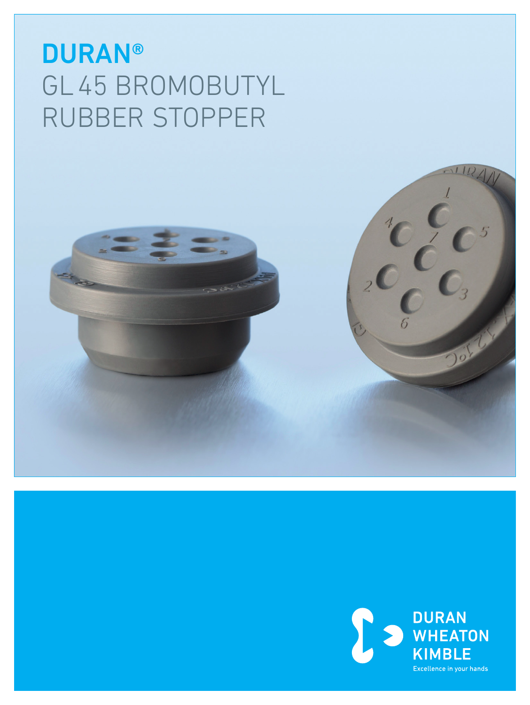# **DURAN®** GL45 BROMOBUTYL RUBBER STOPPER